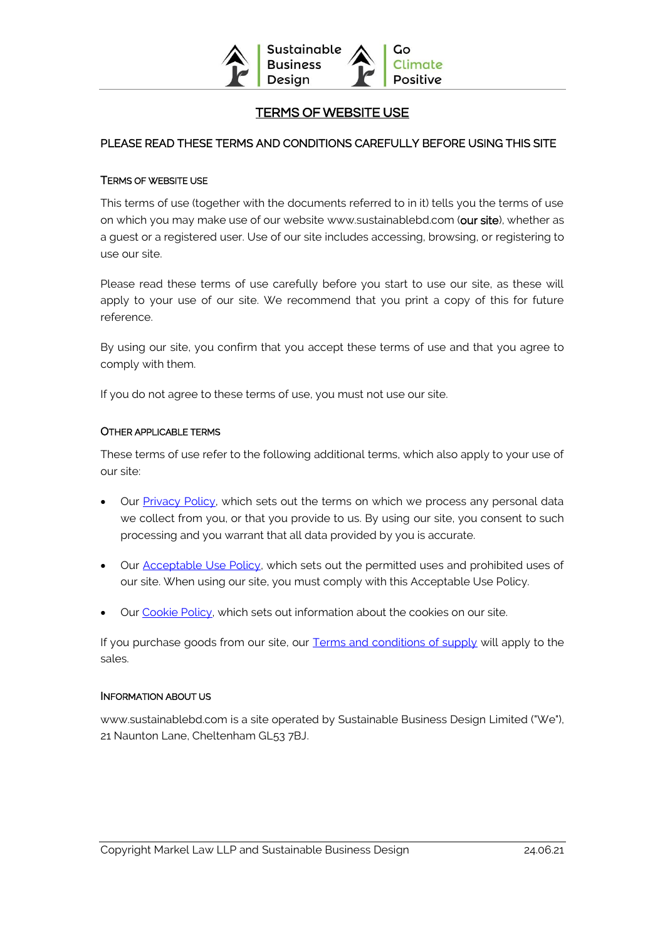

# TERMS OF WEBSITE USE

# PLEASE READ THESE TERMS AND CONDITIONS CAREFULLY BEFORE USING THIS SITE

## TERMS OF WEBSITE USE

This terms of use (together with the documents referred to in it) tells you the terms of use on which you may make use of our website www.sustainablebd.com (our site), whether as a guest or a registered user. Use of our site includes accessing, browsing, or registering to use our site.

Please read these terms of use carefully before you start to use our site, as these will apply to your use of our site. We recommend that you print a copy of this for future reference.

By using our site, you confirm that you accept these terms of use and that you agree to comply with them.

If you do not agree to these terms of use, you must not use our site.

## OTHER APPLICABLE TERMS

These terms of use refer to the following additional terms, which also apply to your use of our site:

- Our [Privacy Policy,](http://go-positive.co.uk/resources/Documents/SBD%20DATA%20PRIVACY%20POLICY.pdf) which sets out the terms on which we process any personal data we collect from you, or that you provide to us. By using our site, you consent to such processing and you warrant that all data provided by you is accurate.
- Our **Acceptable Use Policy**, which sets out the permitted uses and prohibited uses of our site. When using our site, you must comply with this Acceptable Use Policy.
- Our [Cookie Policy,](https://sbdl.wildapricot.org/resources/Documents/SBD%20COOKIE%20POLICY.pdf) which sets out information about the cookies on our site.

If you purchase goods from our site, our [Terms and conditions of supply](https://storage.googleapis.com/wzukusers/user-30264914/documents/5c285dbcc02adMSE0Xer/SBD%20-%20terms%20and%20conditions%20for%20supply%20of%20goods%20and%20services.pdf) will apply to the sales.

#### INFORMATION ABOUT US

www.sustainablebd.com is a site operated by Sustainable Business Design Limited ("We"), 21 Naunton Lane, Cheltenham GL53 7BJ.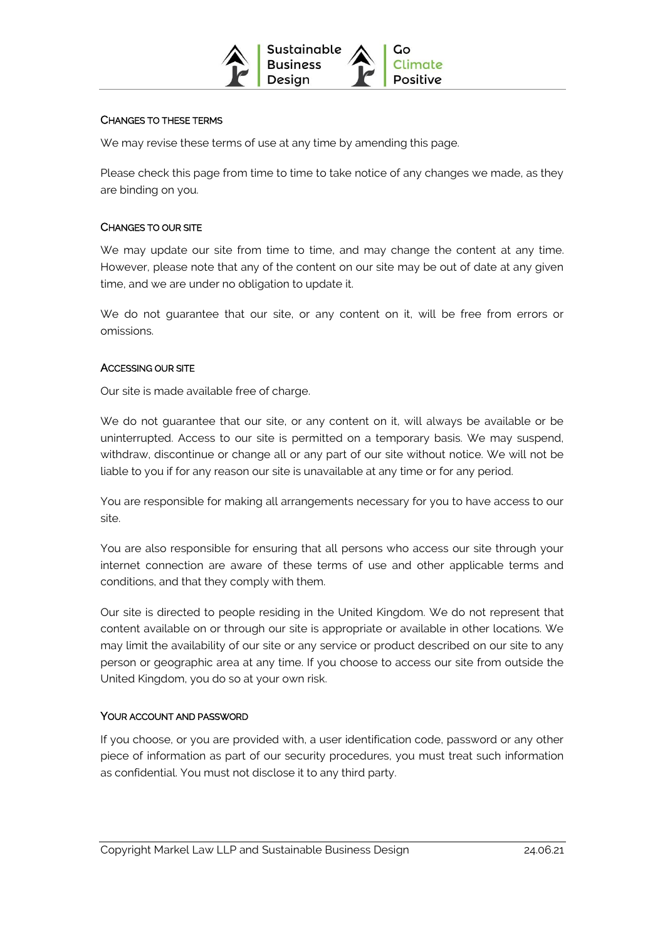

## CHANGES TO THESE TERMS

We may revise these terms of use at any time by amending this page.

Please check this page from time to time to take notice of any changes we made, as they are binding on you.

## CHANGES TO OUR SITE

We may update our site from time to time, and may change the content at any time. However, please note that any of the content on our site may be out of date at any given time, and we are under no obligation to update it.

We do not guarantee that our site, or any content on it, will be free from errors or omissions.

## ACCESSING OUR SITE

Our site is made available free of charge.

We do not guarantee that our site, or any content on it, will always be available or be uninterrupted. Access to our site is permitted on a temporary basis. We may suspend, withdraw, discontinue or change all or any part of our site without notice. We will not be liable to you if for any reason our site is unavailable at any time or for any period.

You are responsible for making all arrangements necessary for you to have access to our site.

You are also responsible for ensuring that all persons who access our site through your internet connection are aware of these terms of use and other applicable terms and conditions, and that they comply with them.

Our site is directed to people residing in the United Kingdom. We do not represent that content available on or through our site is appropriate or available in other locations. We may limit the availability of our site or any service or product described on our site to any person or geographic area at any time. If you choose to access our site from outside the United Kingdom, you do so at your own risk.

#### YOUR ACCOUNT AND PASSWORD

If you choose, or you are provided with, a user identification code, password or any other piece of information as part of our security procedures, you must treat such information as confidential. You must not disclose it to any third party.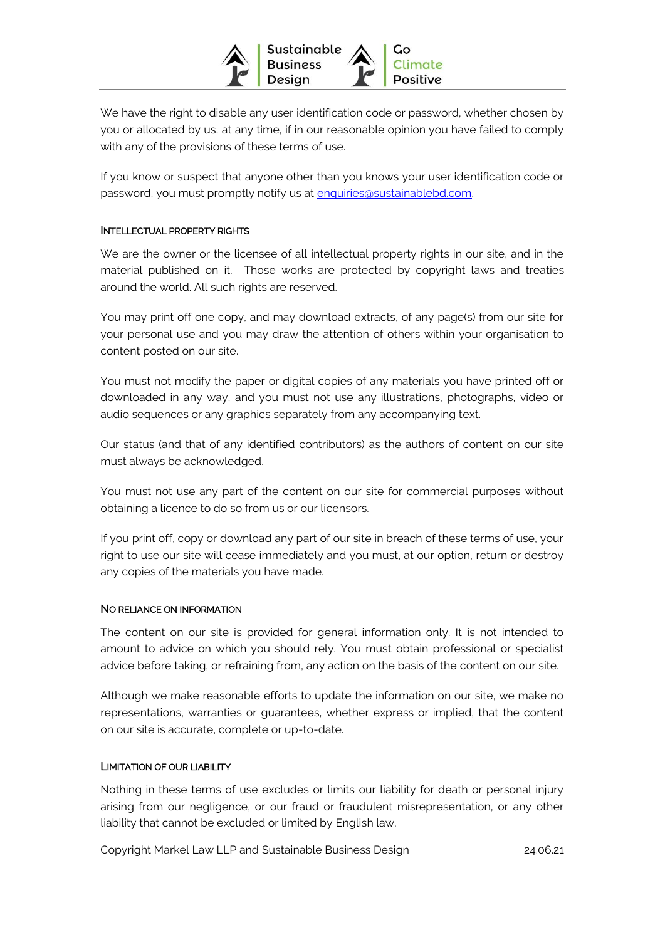

We have the right to disable any user identification code or password, whether chosen by you or allocated by us, at any time, if in our reasonable opinion you have failed to comply with any of the provisions of these terms of use.

If you know or suspect that anyone other than you knows your user identification code or password, you must promptly notify us at [enquiries@sustainablebd.com.](mailto:enquiries@sustainablebd.com)

## INTELLECTUAL PROPERTY RIGHTS

We are the owner or the licensee of all intellectual property rights in our site, and in the material published on it. Those works are protected by copyright laws and treaties around the world. All such rights are reserved.

You may print off one copy, and may download extracts, of any page(s) from our site for your personal use and you may draw the attention of others within your organisation to content posted on our site.

You must not modify the paper or digital copies of any materials you have printed off or downloaded in any way, and you must not use any illustrations, photographs, video or audio sequences or any graphics separately from any accompanying text.

Our status (and that of any identified contributors) as the authors of content on our site must always be acknowledged.

You must not use any part of the content on our site for commercial purposes without obtaining a licence to do so from us or our licensors.

If you print off, copy or download any part of our site in breach of these terms of use, your right to use our site will cease immediately and you must, at our option, return or destroy any copies of the materials you have made.

#### NO RELIANCE ON INFORMATION

The content on our site is provided for general information only. It is not intended to amount to advice on which you should rely. You must obtain professional or specialist advice before taking, or refraining from, any action on the basis of the content on our site.

Although we make reasonable efforts to update the information on our site, we make no representations, warranties or guarantees, whether express or implied, that the content on our site is accurate, complete or up-to-date.

#### LIMITATION OF OUR LIABILITY

Nothing in these terms of use excludes or limits our liability for death or personal injury arising from our negligence, or our fraud or fraudulent misrepresentation, or any other liability that cannot be excluded or limited by English law.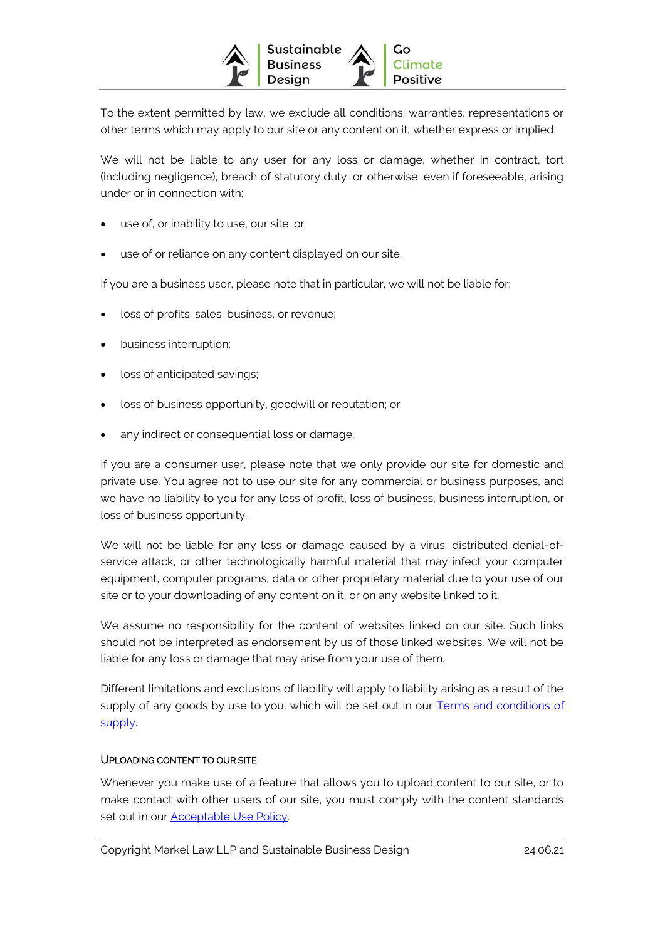

To the extent permitted by law, we exclude all conditions, warranties, representations or other terms which may apply to our site or any content on it, whether express or implied.

We will not be liable to any user for any loss or damage, whether in contract, tort (including negligence), breach of statutory duty, or otherwise, even if foreseeable, arising under or in connection with:

- use of, or inability to use, our site; or
- use of or reliance on any content displayed on our site.

If you are a business user, please note that in particular, we will not be liable for:

- loss of profits, sales, business, or revenue;
- business interruption;
- loss of anticipated savings;
- loss of business opportunity, goodwill or reputation; or
- any indirect or consequential loss or damage.

If you are a consumer user, please note that we only provide our site for domestic and private use. You agree not to use our site for any commercial or business purposes, and we have no liability to you for any loss of profit, loss of business, business interruption, or loss of business opportunity.

We will not be liable for any loss or damage caused by a virus, distributed denial-ofservice attack, or other technologically harmful material that may infect your computer equipment, computer programs, data or other proprietary material due to your use of our site or to your downloading of any content on it, or on any website linked to it.

We assume no responsibility for the content of websites linked on our site. Such links should not be interpreted as endorsement by us of those linked websites. We will not be liable for any loss or damage that may arise from your use of them.

Different limitations and exclusions of liability will apply to liability arising as a result of the supply of any goods by use to you, which will be set out in our **Terms and conditions of** [supply.](https://storage.googleapis.com/wzukusers/user-30264914/documents/5c285dbcc02adMSE0Xer/SBD%20-%20terms%20and%20conditions%20for%20supply%20of%20goods%20and%20services.pdf)

#### UPLOADING CONTENT TO OUR SITE

Whenever you make use of a feature that allows you to upload content to our site, or to make contact with other users of our site, you must comply with the content standards set out in our **Acceptable Use Policy**.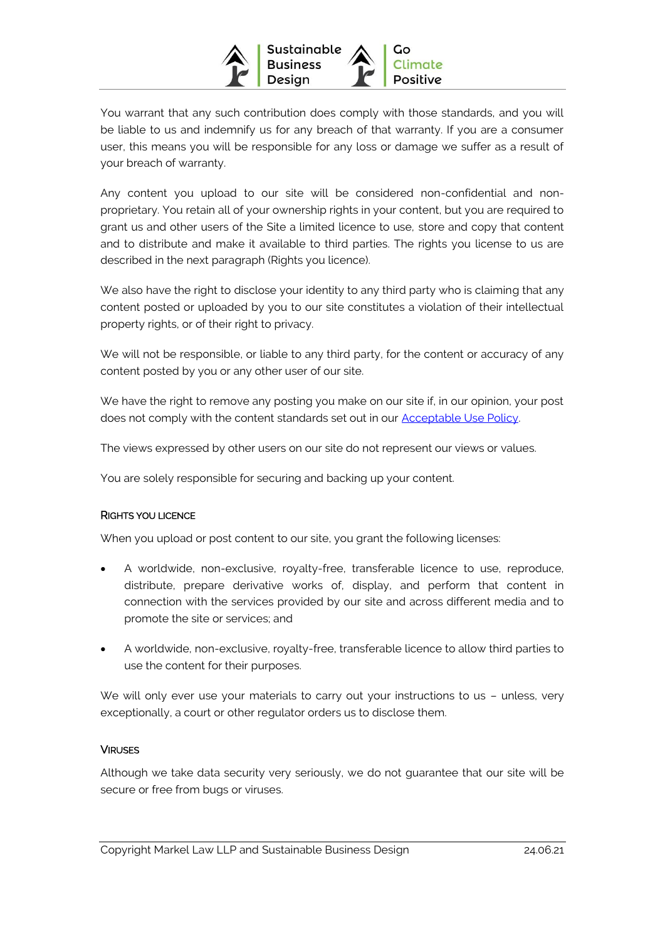

You warrant that any such contribution does comply with those standards, and you will be liable to us and indemnify us for any breach of that warranty. If you are a consumer user, this means you will be responsible for any loss or damage we suffer as a result of your breach of warranty.

Any content you upload to our site will be considered non-confidential and nonproprietary. You retain all of your ownership rights in your content, but you are required to grant us and other users of the Site a limited licence to use, store and copy that content and to distribute and make it available to third parties. The rights you license to us are described in the next paragraph (Rights you licence).

We also have the right to disclose your identity to any third party who is claiming that any content posted or uploaded by you to our site constitutes a violation of their intellectual property rights, or of their right to privacy.

We will not be responsible, or liable to any third party, for the content or accuracy of any content posted by you or any other user of our site.

We have the right to remove any posting you make on our site if, in our opinion, your post does not comply with the content standards set out in our [Acceptable Use Policy.](#page-5-0)

The views expressed by other users on our site do not represent our views or values.

You are solely responsible for securing and backing up your content.

#### RIGHTS YOU LICENCE

When you upload or post content to our site, you grant the following licenses:

- A worldwide, non-exclusive, royalty-free, transferable licence to use, reproduce, distribute, prepare derivative works of, display, and perform that content in connection with the services provided by our site and across different media and to promote the site or services; and
- A worldwide, non-exclusive, royalty-free, transferable licence to allow third parties to use the content for their purposes.

We will only ever use your materials to carry out your instructions to us - unless, very exceptionally, a court or other regulator orders us to disclose them.

#### **VIRUSES**

Although we take data security very seriously, we do not guarantee that our site will be secure or free from bugs or viruses.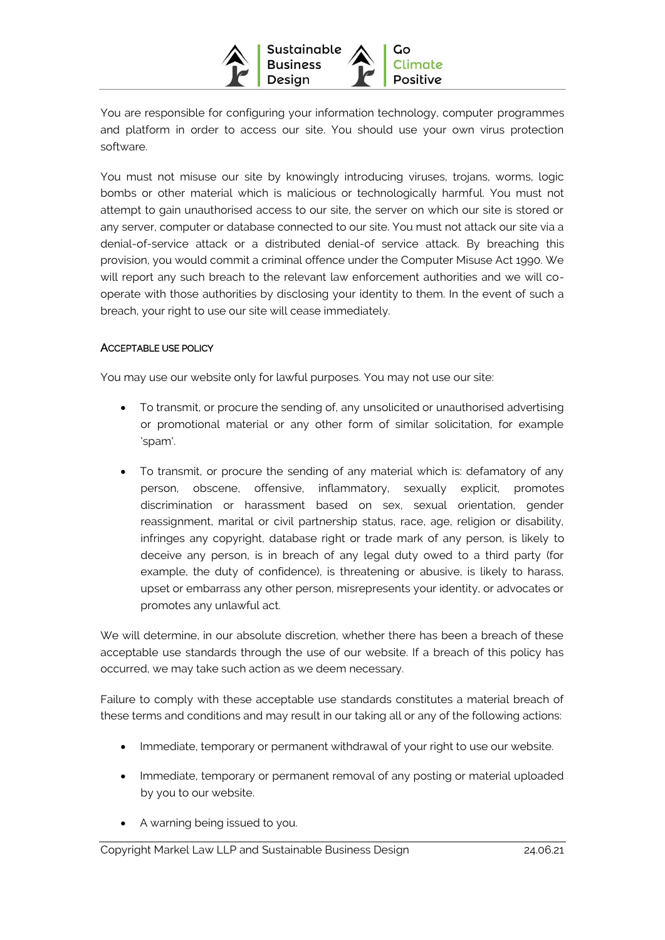

You are responsible for configuring your information technology, computer programmes and platform in order to access our site. You should use your own virus protection software.

 $\overline{a}$ 

You must not misuse our site by knowingly introducing viruses, trojans, worms, logic bombs or other material which is malicious or technologically harmful. You must not attempt to gain unauthorised access to our site, the server on which our site is stored or any server, computer or database connected to our site. You must not attack our site via a denial-of-service attack or a distributed denial-of service attack. By breaching this provision, you would commit a criminal offence under the Computer Misuse Act 1990. We will report any such breach to the relevant law enforcement authorities and we will cooperate with those authorities by disclosing your identity to them. In the event of such a breach, your right to use our site will cease immediately.

#### <span id="page-5-0"></span>ACCEPTABLE USE POLICY

You may use our website only for lawful purposes. You may not use our site:

- To transmit, or procure the sending of, any unsolicited or unauthorised advertising or promotional material or any other form of similar solicitation, for example 'spam'.
- To transmit, or procure the sending of any material which is: defamatory of any person, obscene, offensive, inflammatory, sexually explicit, promotes discrimination or harassment based on sex, sexual orientation, gender reassignment, marital or civil partnership status, race, age, religion or disability, infringes any copyright, database right or trade mark of any person, is likely to deceive any person, is in breach of any legal duty owed to a third party (for example, the duty of confidence), is threatening or abusive, is likely to harass, upset or embarrass any other person, misrepresents your identity, or advocates or promotes any unlawful act.

We will determine, in our absolute discretion, whether there has been a breach of these acceptable use standards through the use of our website. If a breach of this policy has occurred, we may take such action as we deem necessary.

Failure to comply with these acceptable use standards constitutes a material breach of these terms and conditions and may result in our taking all or any of the following actions:

- Immediate, temporary or permanent withdrawal of your right to use our website.
- Immediate, temporary or permanent removal of any posting or material uploaded by you to our website.
- A warning being issued to you.